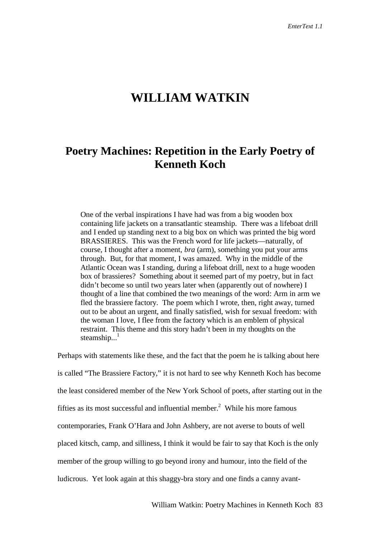# **WILLIAM WATKIN**

## **Poetry Machines: Repetition in the Early Poetry of Kenneth Koch**

One of the verbal inspirations I have had was from a big wooden box containing life jackets on a transatlantic steamship. There was a lifeboat drill and I ended up standing next to a big box on which was printed the big word BRASSIERES. This was the French word for life jackets—naturally, of course, I thought after a moment, *bra* (arm), something you put your arms through. But, for that moment, I was amazed. Why in the middle of the Atlantic Ocean was I standing, during a lifeboat drill, next to a huge wooden box of brassieres? Something about it seemed part of my poetry, but in fact didn't become so until two years later when (apparently out of nowhere) I thought of a line that combined the two meanings of the word: Arm in arm we fled the brassiere factory. The poem which I wrote, then, right away, turned out to be about an urgent, and finally satisfied, wish for sexual freedom: with the woman I love, I flee from the factory which is an emblem of physical restraint. This theme and this story hadn't been in my thoughts on the steamship... $<sup>1</sup>$ </sup>

Perhaps with statements like these, and the fact that the poem he is talking about here is called "The Brassiere Factory," it is not hard to see why Kenneth Koch has become the least considered member of the New York School of poets, after starting out in the fifties as its most successful and influential member.<sup>2</sup> While his more famous contemporaries, Frank O'Hara and John Ashbery, are not averse to bouts of well placed kitsch, camp, and silliness, I think it would be fair to say that Koch is the only member of the group willing to go beyond irony and humour, into the field of the ludicrous. Yet look again at this shaggy-bra story and one finds a canny avant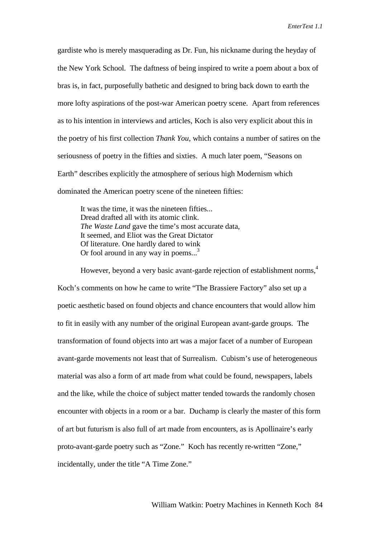gardiste who is merely masquerading as Dr. Fun, his nickname during the heyday of the New York School. The daftness of being inspired to write a poem about a box of bras is, in fact, purposefully bathetic and designed to bring back down to earth the more lofty aspirations of the post-war American poetry scene. Apart from references as to his intention in interviews and articles, Koch is also very explicit about this in the poetry of his first collection *Thank You,* which contains a number of satires on the seriousness of poetry in the fifties and sixties. A much later poem, "Seasons on Earth" describes explicitly the atmosphere of serious high Modernism which dominated the American poetry scene of the nineteen fifties:

It was the time, it was the nineteen fifties... Dread drafted all with its atomic clink. *The Waste Land* gave the time's most accurate data, It seemed, and Eliot was the Great Dictator Of literature. One hardly dared to wink Or fool around in any way in poems...<sup>3</sup>

However, beyond a very basic avant-garde rejection of establishment norms,<sup>4</sup> Koch's comments on how he came to write "The Brassiere Factory" also set up a poetic aesthetic based on found objects and chance encounters that would allow him to fit in easily with any number of the original European avant-garde groups. The transformation of found objects into art was a major facet of a number of European avant-garde movements not least that of Surrealism. Cubism's use of heterogeneous material was also a form of art made from what could be found, newspapers, labels and the like, while the choice of subject matter tended towards the randomly chosen encounter with objects in a room or a bar. Duchamp is clearly the master of this form of art but futurism is also full of art made from encounters, as is Apollinaire's early proto-avant-garde poetry such as "Zone." Koch has recently re-written "Zone," incidentally, under the title "A Time Zone."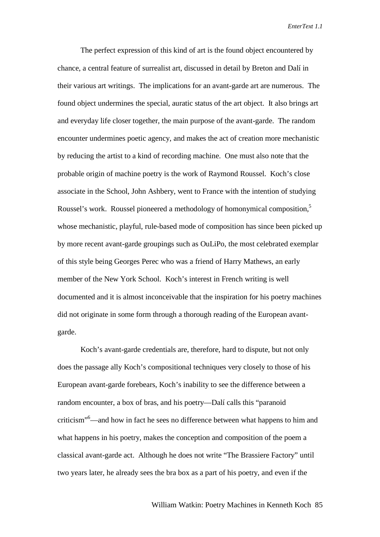The perfect expression of this kind of art is the found object encountered by chance, a central feature of surrealist art, discussed in detail by Breton and Dalí in their various art writings. The implications for an avant-garde art are numerous. The found object undermines the special, auratic status of the art object. It also brings art and everyday life closer together, the main purpose of the avant-garde. The random encounter undermines poetic agency, and makes the act of creation more mechanistic by reducing the artist to a kind of recording machine. One must also note that the probable origin of machine poetry is the work of Raymond Roussel. Koch's close associate in the School, John Ashbery, went to France with the intention of studying Roussel's work. Roussel pioneered a methodology of homonymical composition,5 whose mechanistic, playful, rule-based mode of composition has since been picked up by more recent avant-garde groupings such as OuLiPo, the most celebrated exemplar of this style being Georges Perec who was a friend of Harry Mathews, an early member of the New York School. Koch's interest in French writing is well documented and it is almost inconceivable that the inspiration for his poetry machines did not originate in some form through a thorough reading of the European avantgarde.

Koch's avant-garde credentials are, therefore, hard to dispute, but not only does the passage ally Koch's compositional techniques very closely to those of his European avant-garde forebears, Koch's inability to see the difference between a random encounter, a box of bras, and his poetry—Dalí calls this "paranoid criticism"6 —and how in fact he sees no difference between what happens to him and what happens in his poetry, makes the conception and composition of the poem a classical avant-garde act. Although he does not write "The Brassiere Factory" until two years later, he already sees the bra box as a part of his poetry, and even if the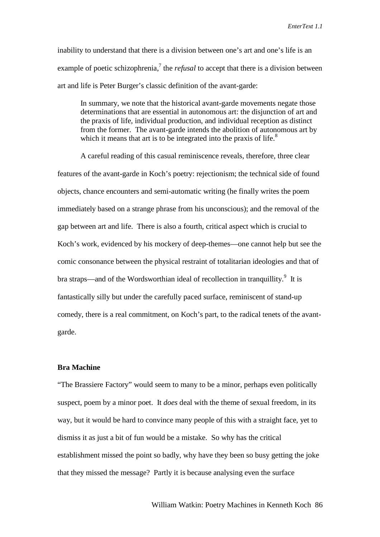inability to understand that there is a division between one's art and one's life is an example of poetic schizophrenia,<sup>7</sup> the *refusal* to accept that there is a division between art and life is Peter Burger's classic definition of the avant-garde:

In summary, we note that the historical avant-garde movements negate those determinations that are essential in autonomous art: the disjunction of art and the praxis of life, individual production, and individual reception as distinct from the former. The avant-garde intends the abolition of autonomous art by which it means that art is to be integrated into the praxis of life. $8<sup>8</sup>$ 

A careful reading of this casual reminiscence reveals, therefore, three clear features of the avant-garde in Koch's poetry: rejectionism; the technical side of found objects, chance encounters and semi-automatic writing (he finally writes the poem immediately based on a strange phrase from his unconscious); and the removal of the gap between art and life. There is also a fourth, critical aspect which is crucial to Koch's work, evidenced by his mockery of deep-themes—one cannot help but see the comic consonance between the physical restraint of totalitarian ideologies and that of bra straps—and of the Wordsworthian ideal of recollection in tranquillity.<sup>9</sup> It is fantastically silly but under the carefully paced surface, reminiscent of stand-up comedy, there is a real commitment, on Koch's part, to the radical tenets of the avantgarde.

#### **Bra Machine**

"The Brassiere Factory" would seem to many to be a minor, perhaps even politically suspect, poem by a minor poet. It *does* deal with the theme of sexual freedom, in its way, but it would be hard to convince many people of this with a straight face, yet to dismiss it as just a bit of fun would be a mistake. So why has the critical establishment missed the point so badly, why have they been so busy getting the joke that they missed the message? Partly it is because analysing even the surface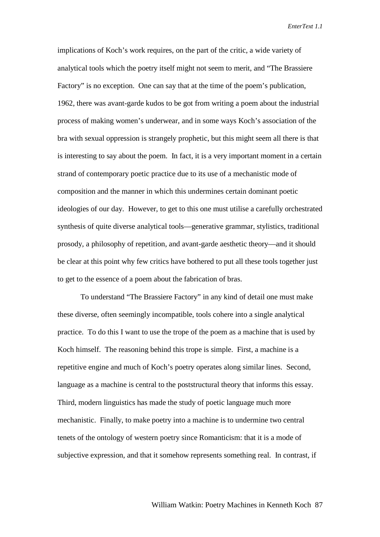implications of Koch's work requires, on the part of the critic, a wide variety of analytical tools which the poetry itself might not seem to merit, and "The Brassiere Factory" is no exception. One can say that at the time of the poem's publication, 1962, there was avant-garde kudos to be got from writing a poem about the industrial process of making women's underwear, and in some ways Koch's association of the bra with sexual oppression is strangely prophetic, but this might seem all there is that is interesting to say about the poem. In fact, it is a very important moment in a certain strand of contemporary poetic practice due to its use of a mechanistic mode of composition and the manner in which this undermines certain dominant poetic ideologies of our day. However, to get to this one must utilise a carefully orchestrated synthesis of quite diverse analytical tools—generative grammar, stylistics, traditional prosody, a philosophy of repetition, and avant-garde aesthetic theory—and it should be clear at this point why few critics have bothered to put all these tools together just to get to the essence of a poem about the fabrication of bras.

To understand "The Brassiere Factory" in any kind of detail one must make these diverse, often seemingly incompatible, tools cohere into a single analytical practice. To do this I want to use the trope of the poem as a machine that is used by Koch himself. The reasoning behind this trope is simple. First, a machine is a repetitive engine and much of Koch's poetry operates along similar lines. Second, language as a machine is central to the poststructural theory that informs this essay. Third, modern linguistics has made the study of poetic language much more mechanistic. Finally, to make poetry into a machine is to undermine two central tenets of the ontology of western poetry since Romanticism: that it is a mode of subjective expression, and that it somehow represents something real. In contrast, if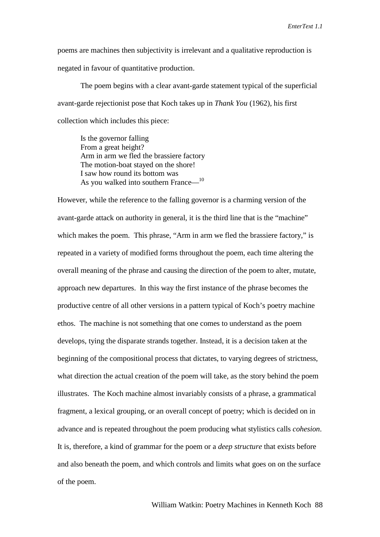poems are machines then subjectivity is irrelevant and a qualitative reproduction is negated in favour of quantitative production.

The poem begins with a clear avant-garde statement typical of the superficial avant-garde rejectionist pose that Koch takes up in *Thank You* (1962), his first collection which includes this piece:

Is the governor falling From a great height? Arm in arm we fled the brassiere factory The motion-boat stayed on the shore! I saw how round its bottom was As you walked into southern France—10

However, while the reference to the falling governor is a charming version of the avant-garde attack on authority in general, it is the third line that is the "machine" which makes the poem. This phrase, "Arm in arm we fled the brassiere factory," is repeated in a variety of modified forms throughout the poem, each time altering the overall meaning of the phrase and causing the direction of the poem to alter, mutate, approach new departures. In this way the first instance of the phrase becomes the productive centre of all other versions in a pattern typical of Koch's poetry machine ethos. The machine is not something that one comes to understand as the poem develops, tying the disparate strands together. Instead, it is a decision taken at the beginning of the compositional process that dictates, to varying degrees of strictness, what direction the actual creation of the poem will take, as the story behind the poem illustrates. The Koch machine almost invariably consists of a phrase, a grammatical fragment, a lexical grouping, or an overall concept of poetry; which is decided on in advance and is repeated throughout the poem producing what stylistics calls *cohesion*. It is, therefore, a kind of grammar for the poem or a *deep structure* that exists before and also beneath the poem, and which controls and limits what goes on on the surface of the poem.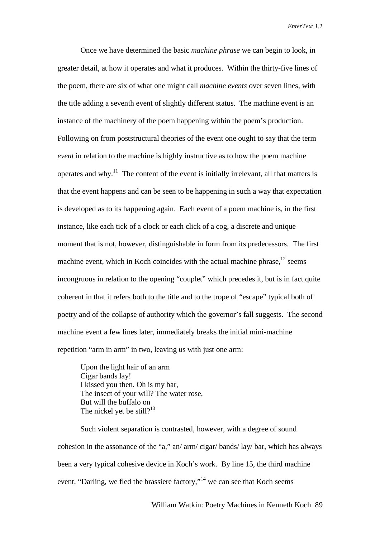Once we have determined the basic *machine phrase* we can begin to look, in greater detail, at how it operates and what it produces. Within the thirty-five lines of the poem, there are six of what one might call *machine events* over seven lines, with the title adding a seventh event of slightly different status. The machine event is an instance of the machinery of the poem happening within the poem's production. Following on from poststructural theories of the event one ought to say that the term *event* in relation to the machine is highly instructive as to how the poem machine operates and why.<sup>11</sup> The content of the event is initially irrelevant, all that matters is that the event happens and can be seen to be happening in such a way that expectation is developed as to its happening again. Each event of a poem machine is, in the first instance, like each tick of a clock or each click of a cog, a discrete and unique moment that is not, however, distinguishable in form from its predecessors. The first machine event, which in Koch coincides with the actual machine phrase,  $12$  seems incongruous in relation to the opening "couplet" which precedes it, but is in fact quite coherent in that it refers both to the title and to the trope of "escape" typical both of poetry and of the collapse of authority which the governor's fall suggests. The second machine event a few lines later, immediately breaks the initial mini-machine repetition "arm in arm" in two, leaving us with just one arm:

Upon the light hair of an arm Cigar bands lay! I kissed you then. Oh is my bar, The insect of your will? The water rose, But will the buffalo on The nickel yet be still?<sup>13</sup>

Such violent separation is contrasted, however, with a degree of sound cohesion in the assonance of the "a," an/ arm/ cigar/ bands/ lay/ bar, which has always been a very typical cohesive device in Koch's work. By line 15, the third machine event, "Darling, we fled the brassiere factory,"<sup>14</sup> we can see that Koch seems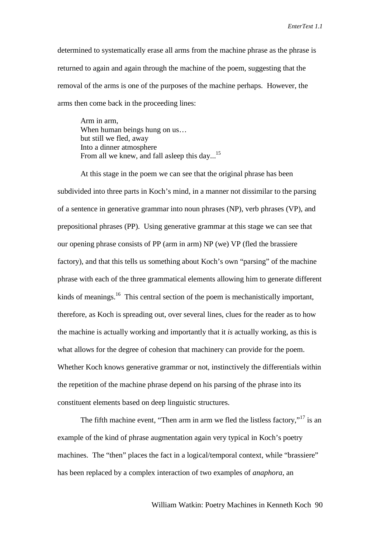determined to systematically erase all arms from the machine phrase as the phrase is returned to again and again through the machine of the poem, suggesting that the removal of the arms is one of the purposes of the machine perhaps. However, the arms then come back in the proceeding lines:

Arm in arm, When human beings hung on us... but still we fled, away Into a dinner atmosphere From all we knew, and fall asleep this day...<sup>15</sup>

At this stage in the poem we can see that the original phrase has been subdivided into three parts in Koch's mind, in a manner not dissimilar to the parsing of a sentence in generative grammar into noun phrases (NP), verb phrases (VP), and prepositional phrases (PP). Using generative grammar at this stage we can see that our opening phrase consists of PP (arm in arm) NP (we) VP (fled the brassiere factory), and that this tells us something about Koch's own "parsing" of the machine phrase with each of the three grammatical elements allowing him to generate different kinds of meanings.<sup>16</sup> This central section of the poem is mechanistically important, therefore, as Koch is spreading out, over several lines, clues for the reader as to how the machine is actually working and importantly that it *is* actually working, as this is what allows for the degree of cohesion that machinery can provide for the poem. Whether Koch knows generative grammar or not, instinctively the differentials within the repetition of the machine phrase depend on his parsing of the phrase into its constituent elements based on deep linguistic structures.

The fifth machine event, "Then arm in arm we fled the listless factory,"<sup>17</sup> is an example of the kind of phrase augmentation again very typical in Koch's poetry machines. The "then" places the fact in a logical/temporal context, while "brassiere" has been replaced by a complex interaction of two examples of *anaphora*, an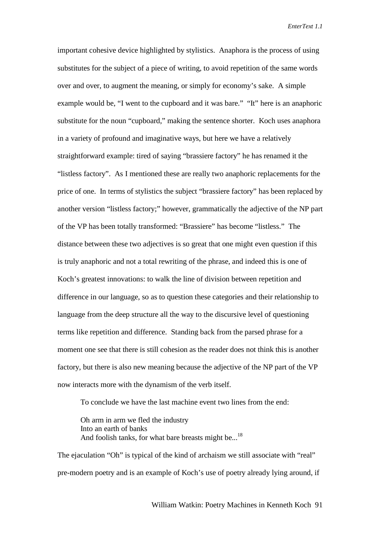important cohesive device highlighted by stylistics. Anaphora is the process of using substitutes for the subject of a piece of writing, to avoid repetition of the same words over and over, to augment the meaning, or simply for economy's sake. A simple example would be, "I went to the cupboard and it was bare." "It" here is an anaphoric substitute for the noun "cupboard," making the sentence shorter. Koch uses anaphora in a variety of profound and imaginative ways, but here we have a relatively straightforward example: tired of saying "brassiere factory" he has renamed it the "listless factory". As I mentioned these are really two anaphoric replacements for the price of one. In terms of stylistics the subject "brassiere factory" has been replaced by another version "listless factory;" however, grammatically the adjective of the NP part of the VP has been totally transformed: "Brassiere" has become "listless." The distance between these two adjectives is so great that one might even question if this is truly anaphoric and not a total rewriting of the phrase, and indeed this is one of Koch's greatest innovations: to walk the line of division between repetition and difference in our language, so as to question these categories and their relationship to language from the deep structure all the way to the discursive level of questioning terms like repetition and difference. Standing back from the parsed phrase for a moment one see that there is still cohesion as the reader does not think this is another factory, but there is also new meaning because the adjective of the NP part of the VP now interacts more with the dynamism of the verb itself.

To conclude we have the last machine event two lines from the end:

Oh arm in arm we fled the industry Into an earth of banks And foolish tanks, for what bare breasts might be...<sup>18</sup>

The ejaculation "Oh" is typical of the kind of archaism we still associate with "real" pre-modern poetry and is an example of Koch's use of poetry already lying around, if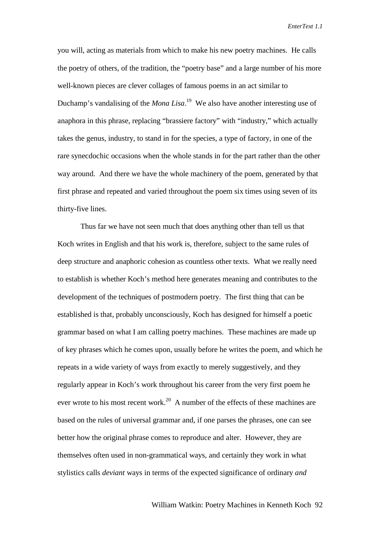you will, acting as materials from which to make his new poetry machines. He calls the poetry of others, of the tradition, the "poetry base" and a large number of his more well-known pieces are clever collages of famous poems in an act similar to Duchamp's vandalising of the *Mona Lisa*. 19 We also have another interesting use of anaphora in this phrase, replacing "brassiere factory" with "industry," which actually takes the genus, industry, to stand in for the species, a type of factory, in one of the rare synecdochic occasions when the whole stands in for the part rather than the other way around. And there we have the whole machinery of the poem, generated by that first phrase and repeated and varied throughout the poem six times using seven of its thirty-five lines.

Thus far we have not seen much that does anything other than tell us that Koch writes in English and that his work is, therefore, subject to the same rules of deep structure and anaphoric cohesion as countless other texts. What we really need to establish is whether Koch's method here generates meaning and contributes to the development of the techniques of postmodern poetry. The first thing that can be established is that, probably unconsciously, Koch has designed for himself a poetic grammar based on what I am calling poetry machines. These machines are made up of key phrases which he comes upon, usually before he writes the poem, and which he repeats in a wide variety of ways from exactly to merely suggestively, and they regularly appear in Koch's work throughout his career from the very first poem he ever wrote to his most recent work.<sup>20</sup> A number of the effects of these machines are based on the rules of universal grammar and, if one parses the phrases, one can see better how the original phrase comes to reproduce and alter. However, they are themselves often used in non-grammatical ways, and certainly they work in what stylistics calls *deviant* ways in terms of the expected significance of ordinary *and*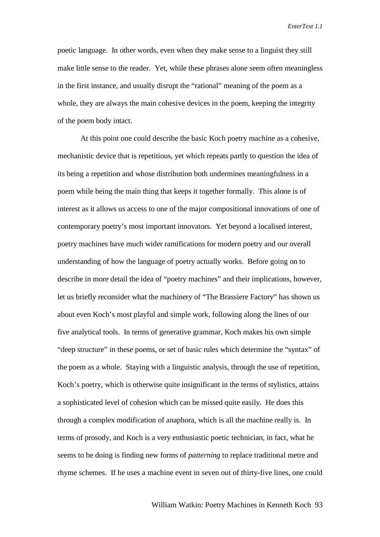poetic language. In other words, even when they make sense to a linguist they still make little sense to the reader. Yet, while these phrases alone seem often meaningless in the first instance, and usually disrupt the "rational" meaning of the poem as a whole, they are always the main cohesive devices in the poem, keeping the integrity of the poem body intact.

At this point one could describe the basic Koch poetry machine as a cohesive, mechanistic device that is repetitious, yet which repeats partly to question the idea of its being a repetition and whose distribution both undermines meaningfulness in a poem while being the main thing that keeps it together formally. This alone is of interest as it allows us access to one of the major compositional innovations of one of contemporary poetry's most important innovators. Yet beyond a localised interest, poetry machines have much wider ramifications for modern poetry and our overall understanding of how the language of poetry actually works. Before going on to describe in more detail the idea of "poetry machines" and their implications, however, let us briefly reconsider what the machinery of "The Brassiere Factory" has shown us about even Koch's most playful and simple work, following along the lines of our five analytical tools. In terms of generative grammar, Koch makes his own simple "deep structure" in these poems, or set of basic rules which determine the "syntax" of the poem as a whole. Staying with a linguistic analysis, through the use of repetition, Koch's poetry, which is otherwise quite insignificant in the terms of stylistics, attains a sophisticated level of cohesion which can be missed quite easily. He does this through a complex modification of anaphora, which is all the machine really is. In terms of prosody, and Koch is a very enthusiastic poetic technician, in fact, what he seems to be doing is finding new forms of *patterning* to replace traditional metre and rhyme schemes. If he uses a machine event in seven out of thirty-five lines, one could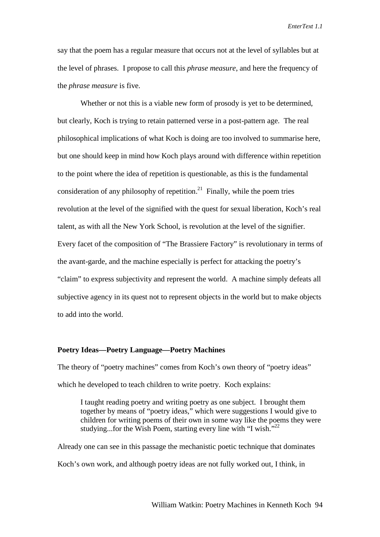say that the poem has a regular measure that occurs not at the level of syllables but at the level of phrases. I propose to call this *phrase measure*, and here the frequency of the *phrase measure* is five.

Whether or not this is a viable new form of prosody is yet to be determined, but clearly, Koch is trying to retain patterned verse in a post-pattern age. The real philosophical implications of what Koch is doing are too involved to summarise here, but one should keep in mind how Koch plays around with difference within repetition to the point where the idea of repetition is questionable, as this is the fundamental consideration of any philosophy of repetition.<sup>21</sup> Finally, while the poem tries revolution at the level of the signified with the quest for sexual liberation, Koch's real talent, as with all the New York School, is revolution at the level of the signifier. Every facet of the composition of "The Brassiere Factory" is revolutionary in terms of the avant-garde, and the machine especially is perfect for attacking the poetry's "claim" to express subjectivity and represent the world. A machine simply defeats all subjective agency in its quest not to represent objects in the world but to make objects to add into the world.

#### **Poetry Ideas—Poetry Language—Poetry Machines**

The theory of "poetry machines" comes from Koch's own theory of "poetry ideas" which he developed to teach children to write poetry. Koch explains:

I taught reading poetry and writing poetry as one subject. I brought them together by means of "poetry ideas," which were suggestions I would give to children for writing poems of their own in some way like the poems they were studying...for the Wish Poem, starting every line with "I wish." $^{22}$ 

Already one can see in this passage the mechanistic poetic technique that dominates Koch's own work, and although poetry ideas are not fully worked out, I think, in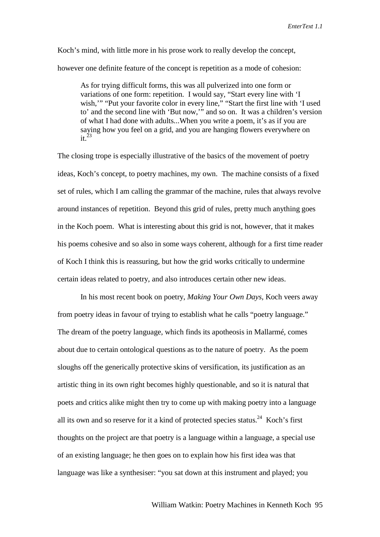Koch's mind, with little more in his prose work to really develop the concept, however one definite feature of the concept is repetition as a mode of cohesion:

As for trying difficult forms, this was all pulverized into one form or variations of one form: repetition. I would say, "Start every line with 'I wish,'" "Put your favorite color in every line," "Start the first line with 'I used to' and the second line with 'But now,'" and so on. It was a children's version of what I had done with adults...When you write a poem, it's as if you are saying how you feel on a grid, and you are hanging flowers everywhere on  $it^2$ 

The closing trope is especially illustrative of the basics of the movement of poetry ideas, Koch's concept, to poetry machines, my own. The machine consists of a fixed set of rules, which I am calling the grammar of the machine, rules that always revolve around instances of repetition. Beyond this grid of rules, pretty much anything goes in the Koch poem. What is interesting about this grid is not, however, that it makes his poems cohesive and so also in some ways coherent, although for a first time reader of Koch I think this is reassuring, but how the grid works critically to undermine certain ideas related to poetry, and also introduces certain other new ideas.

In his most recent book on poetry, *Making Your Own Days*, Koch veers away from poetry ideas in favour of trying to establish what he calls "poetry language." The dream of the poetry language, which finds its apotheosis in Mallarmé, comes about due to certain ontological questions as to the nature of poetry. As the poem sloughs off the generically protective skins of versification, its justification as an artistic thing in its own right becomes highly questionable, and so it is natural that poets and critics alike might then try to come up with making poetry into a language all its own and so reserve for it a kind of protected species status.<sup>24</sup> Koch's first thoughts on the project are that poetry is a language within a language, a special use of an existing language; he then goes on to explain how his first idea was that language was like a synthesiser: "you sat down at this instrument and played; you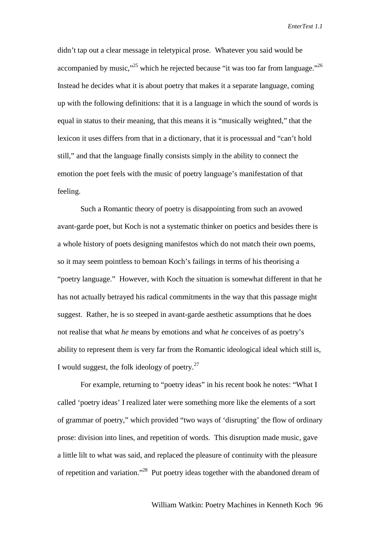didn't tap out a clear message in teletypical prose. Whatever you said would be accompanied by music,"<sup>25</sup> which he rejected because "it was too far from language."<sup>26</sup> Instead he decides what it is about poetry that makes it a separate language, coming up with the following definitions: that it is a language in which the sound of words is equal in status to their meaning, that this means it is "musically weighted," that the lexicon it uses differs from that in a dictionary, that it is processual and "can't hold still," and that the language finally consists simply in the ability to connect the emotion the poet feels with the music of poetry language's manifestation of that feeling.

Such a Romantic theory of poetry is disappointing from such an avowed avant-garde poet, but Koch is not a systematic thinker on poetics and besides there is a whole history of poets designing manifestos which do not match their own poems, so it may seem pointless to bemoan Koch's failings in terms of his theorising a "poetry language." However, with Koch the situation is somewhat different in that he has not actually betrayed his radical commitments in the way that this passage might suggest. Rather, he is so steeped in avant-garde aesthetic assumptions that he does not realise that what *he* means by emotions and what *he* conceives of as poetry's ability to represent them is very far from the Romantic ideological ideal which still is, I would suggest, the folk ideology of poetry.<sup>27</sup>

For example, returning to "poetry ideas" in his recent book he notes: "What I called 'poetry ideas' I realized later were something more like the elements of a sort of grammar of poetry," which provided "two ways of 'disrupting' the flow of ordinary prose: division into lines, and repetition of words. This disruption made music, gave a little lilt to what was said, and replaced the pleasure of continuity with the pleasure of repetition and variation."28 Put poetry ideas together with the abandoned dream of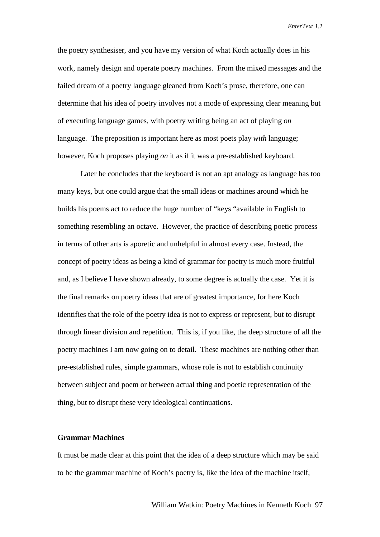the poetry synthesiser, and you have my version of what Koch actually does in his work, namely design and operate poetry machines. From the mixed messages and the failed dream of a poetry language gleaned from Koch's prose, therefore, one can determine that his idea of poetry involves not a mode of expressing clear meaning but of executing language games, with poetry writing being an act of playing *on* language. The preposition is important here as most poets play *with* language; however, Koch proposes playing *on* it as if it was a pre-established keyboard.

Later he concludes that the keyboard is not an apt analogy as language has too many keys, but one could argue that the small ideas or machines around which he builds his poems act to reduce the huge number of "keys "available in English to something resembling an octave. However, the practice of describing poetic process in terms of other arts is aporetic and unhelpful in almost every case. Instead, the concept of poetry ideas as being a kind of grammar for poetry is much more fruitful and, as I believe I have shown already, to some degree is actually the case. Yet it is the final remarks on poetry ideas that are of greatest importance, for here Koch identifies that the role of the poetry idea is not to express or represent, but to disrupt through linear division and repetition. This is, if you like, the deep structure of all the poetry machines I am now going on to detail. These machines are nothing other than pre-established rules, simple grammars, whose role is not to establish continuity between subject and poem or between actual thing and poetic representation of the thing, but to disrupt these very ideological continuations.

## **Grammar Machines**

It must be made clear at this point that the idea of a deep structure which may be said to be the grammar machine of Koch's poetry is, like the idea of the machine itself,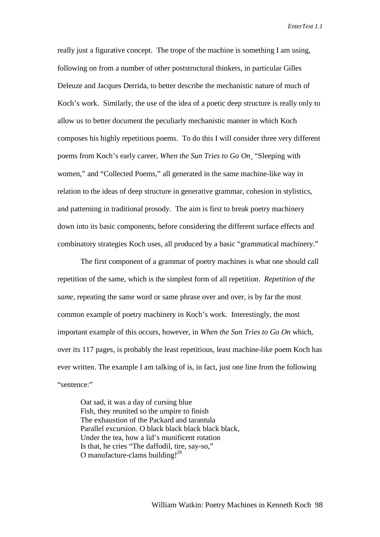really just a figurative concept. The trope of the machine is something I am using, following on from a number of other poststructural thinkers, in particular Gilles Deleuze and Jacques Derrida, to better describe the mechanistic nature of much of Koch's work. Similarly, the use of the idea of a poetic deep structure is really only to allow us to better document the peculiarly mechanistic manner in which Koch composes his highly repetitious poems. To do this I will consider three very different poems from Koch's early career, *When the Sun Tries to Go On*¸ "Sleeping with women," and "Collected Poems," all generated in the same machine-like way in relation to the ideas of deep structure in generative grammar, cohesion in stylistics, and patterning in traditional prosody. The aim is first to break poetry machinery down into its basic components, before considering the different surface effects and combinatory strategies Koch uses, all produced by a basic "grammatical machinery."

The first component of a grammar of poetry machines is what one should call repetition of the same, which is the simplest form of all repetition. *Repetition of the same*, repeating the same word or same phrase over and over, is by far the most common example of poetry machinery in Koch's work. Interestingly, the most important example of this occurs, however, in *When the Sun Tries to Go On* which, over its 117 pages, is probably the least repetitious, least machine-like poem Koch has ever written. The example I am talking of is, in fact, just one line from the following "sentence:"

Oat sad, it was a day of cursing blue Fish, they reunited so the umpire to finish The exhaustion of the Packard and tarantula Parallel excursion. O black black black black black, Under the tea, how a lid's munificent rotation Is that, he cries "The daffodil, tire, say-so," O manufacture-clams building! $^{29}$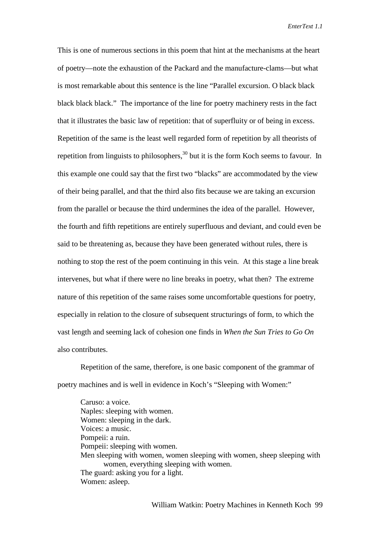This is one of numerous sections in this poem that hint at the mechanisms at the heart of poetry—note the exhaustion of the Packard and the manufacture-clams—but what is most remarkable about this sentence is the line "Parallel excursion. O black black black black black." The importance of the line for poetry machinery rests in the fact that it illustrates the basic law of repetition: that of superfluity or of being in excess. Repetition of the same is the least well regarded form of repetition by all theorists of repetition from linguists to philosophers,  $30$  but it is the form Koch seems to favour. In this example one could say that the first two "blacks" are accommodated by the view of their being parallel, and that the third also fits because we are taking an excursion from the parallel or because the third undermines the idea of the parallel. However, the fourth and fifth repetitions are entirely superfluous and deviant, and could even be said to be threatening as, because they have been generated without rules, there is nothing to stop the rest of the poem continuing in this vein. At this stage a line break intervenes, but what if there were no line breaks in poetry, what then? The extreme nature of this repetition of the same raises some uncomfortable questions for poetry, especially in relation to the closure of subsequent structurings of form, to which the vast length and seeming lack of cohesion one finds in *When the Sun Tries to Go On* also contributes.

Repetition of the same, therefore, is one basic component of the grammar of poetry machines and is well in evidence in Koch's "Sleeping with Women:"

Caruso: a voice. Naples: sleeping with women. Women: sleeping in the dark. Voices: a music. Pompeii: a ruin. Pompeii: sleeping with women. Men sleeping with women, women sleeping with women, sheep sleeping with women, everything sleeping with women. The guard: asking you for a light. Women: asleep.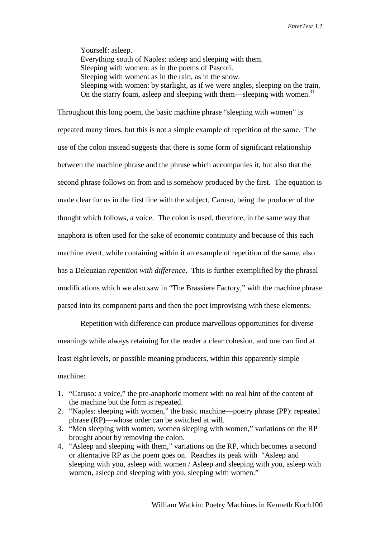Yourself: asleep. Everything south of Naples: asleep and sleeping with them. Sleeping with women: as in the poems of Pascoli. Sleeping with women: as in the rain, as in the snow. Sleeping with women: by starlight, as if we were angles, sleeping on the train, On the starry foam, asleep and sleeping with them—sleeping with women.<sup>31</sup>

Throughout this long poem, the basic machine phrase "sleeping with women" is repeated many times, but this is not a simple example of repetition of the same. The use of the colon instead suggests that there is some form of significant relationship between the machine phrase and the phrase which accompanies it, but also that the second phrase follows on from and is somehow produced by the first. The equation is made clear for us in the first line with the subject, Caruso, being the producer of the thought which follows, a voice. The colon is used, therefore, in the same way that anaphora is often used for the sake of economic continuity and because of this each machine event, while containing within it an example of repetition of the same, also has a Deleuzian *repetition with difference*. This is further exemplified by the phrasal modifications which we also saw in "The Brassiere Factory," with the machine phrase parsed into its component parts and then the poet improvising with these elements.

Repetition with difference can produce marvellous opportunities for diverse meanings while always retaining for the reader a clear cohesion, and one can find at least eight levels, or possible meaning producers, within this apparently simple machine:

- 1. "Caruso: a voice," the pre-anaphoric moment with no real hint of the content of the machine but the form is repeated.
- 2. "Naples: sleeping with women," the basic machine—poetry phrase (PP): repeated phrase (RP)—whose order can be switched at will.
- 3. "Men sleeping with women, women sleeping with women," variations on the RP brought about by removing the colon.
- 4. "Asleep and sleeping with them," variations on the RP, which becomes a second or alternative RP as the poem goes on. Reaches its peak with "Asleep and sleeping with you, asleep with women / Asleep and sleeping with you, asleep with women, asleep and sleeping with you, sleeping with women."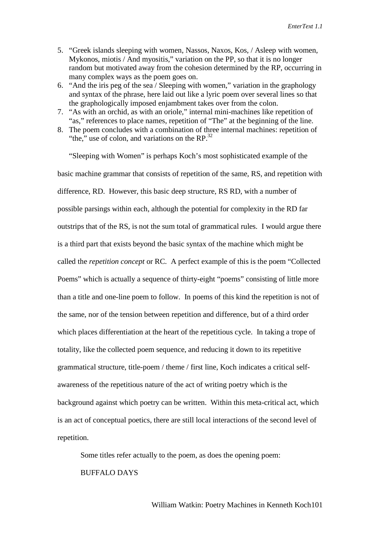- 5. "Greek islands sleeping with women, Nassos, Naxos, Kos, / Asleep with women, Mykonos, miotis / And myositis," variation on the PP, so that it is no longer random but motivated away from the cohesion determined by the RP, occurring in many complex ways as the poem goes on.
- 6. "And the iris peg of the sea / Sleeping with women," variation in the graphology and syntax of the phrase, here laid out like a lyric poem over several lines so that the graphologically imposed enjambment takes over from the colon.
- 7. "As with an orchid, as with an oriole," internal mini-machines like repetition of "as," references to place names, repetition of "The" at the beginning of the line.
- 8. The poem concludes with a combination of three internal machines: repetition of "the," use of colon, and variations on the  $RP^{32}$

"Sleeping with Women" is perhaps Koch's most sophisticated example of the basic machine grammar that consists of repetition of the same, RS, and repetition with difference, RD. However, this basic deep structure, RS RD, with a number of possible parsings within each, although the potential for complexity in the RD far outstrips that of the RS, is not the sum total of grammatical rules. I would argue there is a third part that exists beyond the basic syntax of the machine which might be called the *repetition concept* or RC. A perfect example of this is the poem "Collected Poems" which is actually a sequence of thirty-eight "poems" consisting of little more than a title and one-line poem to follow. In poems of this kind the repetition is not of the same, nor of the tension between repetition and difference, but of a third order which places differentiation at the heart of the repetitious cycle. In taking a trope of totality, like the collected poem sequence, and reducing it down to its repetitive grammatical structure, title-poem / theme / first line, Koch indicates a critical selfawareness of the repetitious nature of the act of writing poetry which is the background against which poetry can be written. Within this meta-critical act, which is an act of conceptual poetics, there are still local interactions of the second level of repetition.

Some titles refer actually to the poem, as does the opening poem: BUFFALO DAYS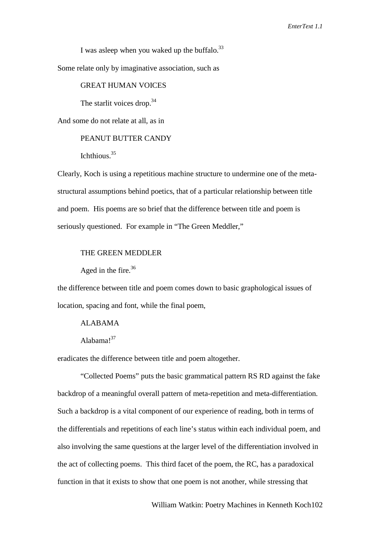I was asleep when you waked up the buffalo. $^{33}$ 

Some relate only by imaginative association, such as

#### GREAT HUMAN VOICES

The starlit voices drop. $34$ 

And some do not relate at all, as in

## PEANUT BUTTER CANDY

Ichthious.35

Clearly, Koch is using a repetitious machine structure to undermine one of the metastructural assumptions behind poetics, that of a particular relationship between title and poem. His poems are so brief that the difference between title and poem is seriously questioned. For example in "The Green Meddler,"

#### THE GREEN MEDDLER

Aged in the fire. $36$ 

the difference between title and poem comes down to basic graphological issues of location, spacing and font, while the final poem,

## ALABAMA

Alahama $1^{37}$ 

eradicates the difference between title and poem altogether.

"Collected Poems" puts the basic grammatical pattern RS RD against the fake backdrop of a meaningful overall pattern of meta-repetition and meta-differentiation. Such a backdrop is a vital component of our experience of reading, both in terms of the differentials and repetitions of each line's status within each individual poem, and also involving the same questions at the larger level of the differentiation involved in the act of collecting poems. This third facet of the poem, the RC, has a paradoxical function in that it exists to show that one poem is not another, while stressing that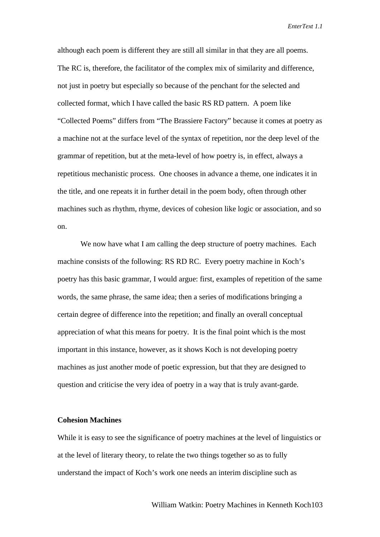although each poem is different they are still all similar in that they are all poems. The RC is, therefore, the facilitator of the complex mix of similarity and difference, not just in poetry but especially so because of the penchant for the selected and collected format, which I have called the basic RS RD pattern. A poem like "Collected Poems" differs from "The Brassiere Factory" because it comes at poetry as a machine not at the surface level of the syntax of repetition, nor the deep level of the grammar of repetition, but at the meta-level of how poetry is, in effect, always a repetitious mechanistic process. One chooses in advance a theme, one indicates it in the title, and one repeats it in further detail in the poem body, often through other machines such as rhythm, rhyme, devices of cohesion like logic or association, and so on.

We now have what I am calling the deep structure of poetry machines. Each machine consists of the following: RS RD RC. Every poetry machine in Koch's poetry has this basic grammar, I would argue: first, examples of repetition of the same words, the same phrase, the same idea; then a series of modifications bringing a certain degree of difference into the repetition; and finally an overall conceptual appreciation of what this means for poetry. It is the final point which is the most important in this instance, however, as it shows Koch is not developing poetry machines as just another mode of poetic expression, but that they are designed to question and criticise the very idea of poetry in a way that is truly avant-garde.

## **Cohesion Machines**

While it is easy to see the significance of poetry machines at the level of linguistics or at the level of literary theory, to relate the two things together so as to fully understand the impact of Koch's work one needs an interim discipline such as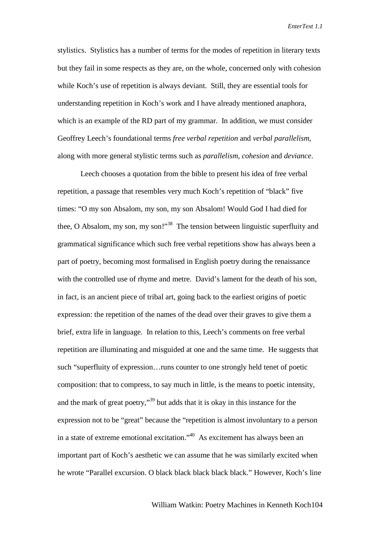stylistics. Stylistics has a number of terms for the modes of repetition in literary texts but they fail in some respects as they are, on the whole, concerned only with cohesion while Koch's use of repetition is always deviant. Still, they are essential tools for understanding repetition in Koch's work and I have already mentioned anaphora, which is an example of the RD part of my grammar. In addition, we must consider Geoffrey Leech's foundational terms *free verbal repetition* and *verbal parallelism*, along with more general stylistic terms such as *parallelism*, *cohesion* and *deviance*.

Leech chooses a quotation from the bible to present his idea of free verbal repetition*,* a passage that resembles very much Koch's repetition of "black" five times: "O my son Absalom, my son, my son Absalom! Would God I had died for thee, O Absalom, my son, my son!"<sup>38</sup> The tension between linguistic superfluity and grammatical significance which such free verbal repetitions show has always been a part of poetry, becoming most formalised in English poetry during the renaissance with the controlled use of rhyme and metre. David's lament for the death of his son, in fact, is an ancient piece of tribal art, going back to the earliest origins of poetic expression: the repetition of the names of the dead over their graves to give them a brief, extra life in language. In relation to this, Leech's comments on free verbal repetition are illuminating and misguided at one and the same time. He suggests that such "superfluity of expression…runs counter to one strongly held tenet of poetic composition: that to compress, to say much in little, is the means to poetic intensity, and the mark of great poetry,<sup>39</sup> but adds that it is okay in this instance for the expression not to be "great" because the "repetition is almost involuntary to a person in a state of extreme emotional excitation."40 As excitement has always been an important part of Koch's aesthetic we can assume that he was similarly excited when he wrote "Parallel excursion. O black black black black black." However, Koch's line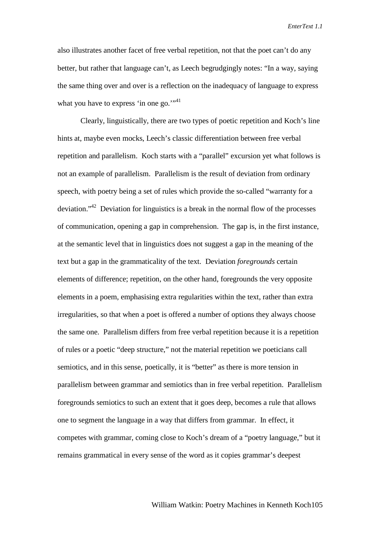also illustrates another facet of free verbal repetition, not that the poet can't do any better, but rather that language can't, as Leech begrudgingly notes: "In a way, saying the same thing over and over is a reflection on the inadequacy of language to express what you have to express 'in one go." $,41$ 

Clearly, linguistically, there are two types of poetic repetition and Koch's line hints at, maybe even mocks, Leech's classic differentiation between free verbal repetition and parallelism. Koch starts with a "parallel" excursion yet what follows is not an example of parallelism. Parallelism is the result of deviation from ordinary speech, with poetry being a set of rules which provide the so-called "warranty for a deviation."<sup>42</sup> Deviation for linguistics is a break in the normal flow of the processes of communication, opening a gap in comprehension. The gap is, in the first instance, at the semantic level that in linguistics does not suggest a gap in the meaning of the text but a gap in the grammaticality of the text. Deviation *foregrounds* certain elements of difference; repetition, on the other hand, foregrounds the very opposite elements in a poem, emphasising extra regularities within the text, rather than extra irregularities, so that when a poet is offered a number of options they always choose the same one. Parallelism differs from free verbal repetition because it is a repetition of rules or a poetic "deep structure," not the material repetition we poeticians call semiotics, and in this sense, poetically, it is "better" as there is more tension in parallelism between grammar and semiotics than in free verbal repetition. Parallelism foregrounds semiotics to such an extent that it goes deep, becomes a rule that allows one to segment the language in a way that differs from grammar. In effect, it competes with grammar, coming close to Koch's dream of a "poetry language," but it remains grammatical in every sense of the word as it copies grammar's deepest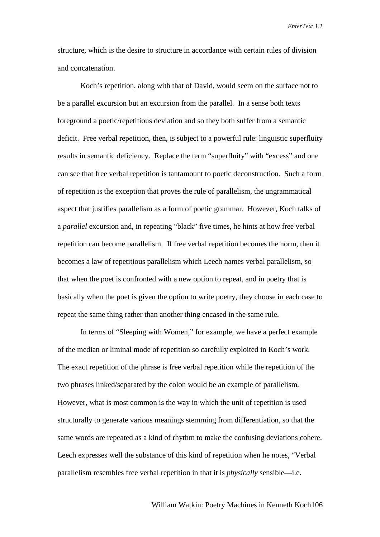structure, which is the desire to structure in accordance with certain rules of division and concatenation.

Koch's repetition, along with that of David, would seem on the surface not to be a parallel excursion but an excursion from the parallel. In a sense both texts foreground a poetic/repetitious deviation and so they both suffer from a semantic deficit. Free verbal repetition, then, is subject to a powerful rule: linguistic superfluity results in semantic deficiency. Replace the term "superfluity" with "excess" and one can see that free verbal repetition is tantamount to poetic deconstruction. Such a form of repetition is the exception that proves the rule of parallelism, the ungrammatical aspect that justifies parallelism as a form of poetic grammar. However, Koch talks of a *parallel* excursion and, in repeating "black" five times, he hints at how free verbal repetition can become parallelism. If free verbal repetition becomes the norm, then it becomes a law of repetitious parallelism which Leech names verbal parallelism, so that when the poet is confronted with a new option to repeat, and in poetry that is basically when the poet is given the option to write poetry, they choose in each case to repeat the same thing rather than another thing encased in the same rule.

In terms of "Sleeping with Women," for example, we have a perfect example of the median or liminal mode of repetition so carefully exploited in Koch's work. The exact repetition of the phrase is free verbal repetition while the repetition of the two phrases linked/separated by the colon would be an example of parallelism*.* However, what is most common is the way in which the unit of repetition is used structurally to generate various meanings stemming from differentiation, so that the same words are repeated as a kind of rhythm to make the confusing deviations cohere. Leech expresses well the substance of this kind of repetition when he notes, "Verbal parallelism resembles free verbal repetition in that it is *physically* sensible—i.e.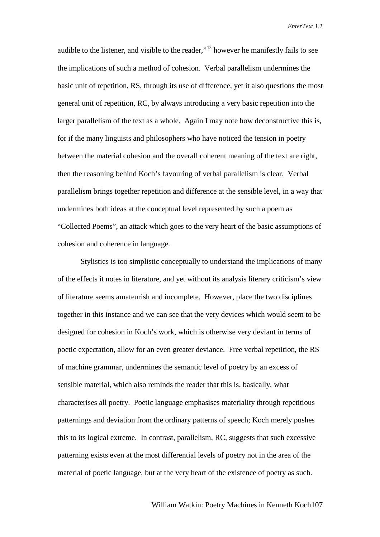audible to the listener, and visible to the reader,<sup>43</sup> however he manifestly fails to see the implications of such a method of cohesion. Verbal parallelism undermines the basic unit of repetition, RS, through its use of difference, yet it also questions the most general unit of repetition, RC, by always introducing a very basic repetition into the larger parallelism of the text as a whole. Again I may note how deconstructive this is, for if the many linguists and philosophers who have noticed the tension in poetry between the material cohesion and the overall coherent meaning of the text are right, then the reasoning behind Koch's favouring of verbal parallelism is clear. Verbal parallelism brings together repetition and difference at the sensible level, in a way that undermines both ideas at the conceptual level represented by such a poem as "Collected Poems", an attack which goes to the very heart of the basic assumptions of cohesion and coherence in language.

Stylistics is too simplistic conceptually to understand the implications of many of the effects it notes in literature, and yet without its analysis literary criticism's view of literature seems amateurish and incomplete. However, place the two disciplines together in this instance and we can see that the very devices which would seem to be designed for cohesion in Koch's work, which is otherwise very deviant in terms of poetic expectation, allow for an even greater deviance. Free verbal repetition, the RS of machine grammar, undermines the semantic level of poetry by an excess of sensible material, which also reminds the reader that this is, basically, what characterises all poetry. Poetic language emphasises materiality through repetitious patternings and deviation from the ordinary patterns of speech; Koch merely pushes this to its logical extreme. In contrast, parallelism, RC, suggests that such excessive patterning exists even at the most differential levels of poetry not in the area of the material of poetic language, but at the very heart of the existence of poetry as such.

#### William Watkin: Poetry Machines in Kenneth Koch107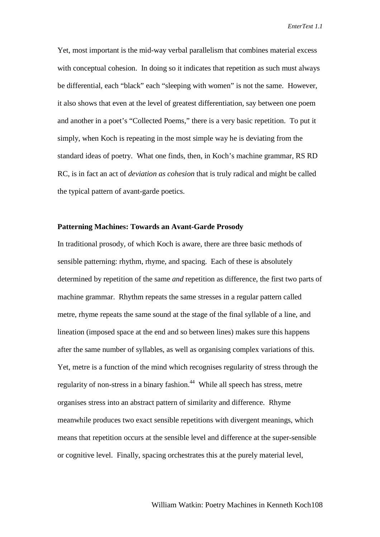Yet, most important is the mid-way verbal parallelism that combines material excess with conceptual cohesion. In doing so it indicates that repetition as such must always be differential, each "black" each "sleeping with women" is not the same. However, it also shows that even at the level of greatest differentiation, say between one poem and another in a poet's "Collected Poems," there is a very basic repetition. To put it simply, when Koch is repeating in the most simple way he is deviating from the standard ideas of poetry. What one finds, then, in Koch's machine grammar, RS RD RC, is in fact an act of *deviation as cohesion* that is truly radical and might be called the typical pattern of avant-garde poetics.

## **Patterning Machines: Towards an Avant-Garde Prosody**

In traditional prosody, of which Koch is aware, there are three basic methods of sensible patterning: rhythm, rhyme, and spacing. Each of these is absolutely determined by repetition of the same *and* repetition as difference, the first two parts of machine grammar. Rhythm repeats the same stresses in a regular pattern called metre, rhyme repeats the same sound at the stage of the final syllable of a line, and lineation (imposed space at the end and so between lines) makes sure this happens after the same number of syllables, as well as organising complex variations of this. Yet, metre is a function of the mind which recognises regularity of stress through the regularity of non-stress in a binary fashion.<sup>44</sup> While all speech has stress, metre organises stress into an abstract pattern of similarity and difference. Rhyme meanwhile produces two exact sensible repetitions with divergent meanings, which means that repetition occurs at the sensible level and difference at the super-sensible or cognitive level. Finally, spacing orchestrates this at the purely material level,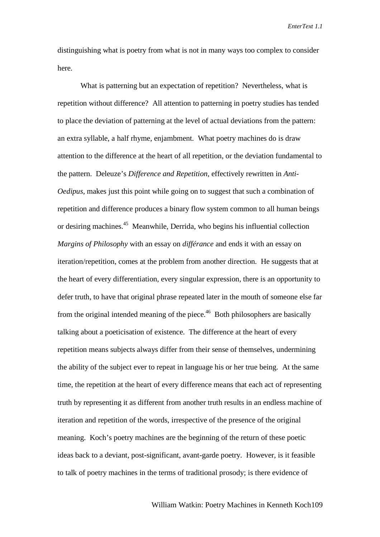distinguishing what is poetry from what is not in many ways too complex to consider here.

What is patterning but an expectation of repetition? Nevertheless, what is repetition without difference? All attention to patterning in poetry studies has tended to place the deviation of patterning at the level of actual deviations from the pattern: an extra syllable, a half rhyme, enjambment. What poetry machines do is draw attention to the difference at the heart of all repetition, or the deviation fundamental to the pattern. Deleuze's *Difference and Repetition*, effectively rewritten in *Anti-Oedipus*, makes just this point while going on to suggest that such a combination of repetition and difference produces a binary flow system common to all human beings or desiring machines.<sup>45</sup> Meanwhile, Derrida, who begins his influential collection *Margins of Philosophy* with an essay on *différance* and ends it with an essay on iteration/repetition, comes at the problem from another direction. He suggests that at the heart of every differentiation, every singular expression, there is an opportunity to defer truth, to have that original phrase repeated later in the mouth of someone else far from the original intended meaning of the piece.<sup>46</sup> Both philosophers are basically talking about a poeticisation of existence. The difference at the heart of every repetition means subjects always differ from their sense of themselves, undermining the ability of the subject ever to repeat in language his or her true being. At the same time, the repetition at the heart of every difference means that each act of representing truth by representing it as different from another truth results in an endless machine of iteration and repetition of the words, irrespective of the presence of the original meaning. Koch's poetry machines are the beginning of the return of these poetic ideas back to a deviant, post-significant, avant-garde poetry. However, is it feasible to talk of poetry machines in the terms of traditional prosody; is there evidence of

William Watkin: Poetry Machines in Kenneth Koch109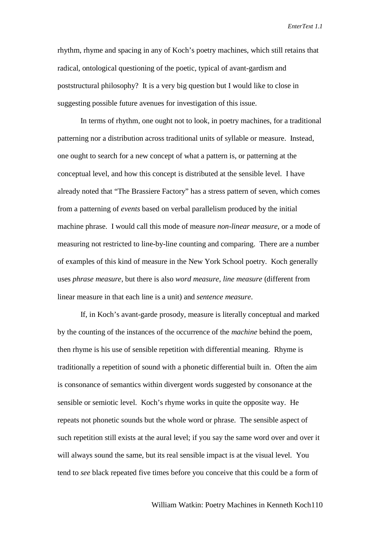rhythm, rhyme and spacing in any of Koch's poetry machines, which still retains that radical, ontological questioning of the poetic, typical of avant-gardism and poststructural philosophy? It is a very big question but I would like to close in suggesting possible future avenues for investigation of this issue.

In terms of rhythm, one ought not to look, in poetry machines, for a traditional patterning nor a distribution across traditional units of syllable or measure. Instead, one ought to search for a new concept of what a pattern is, or patterning at the conceptual level, and how this concept is distributed at the sensible level. I have already noted that "The Brassiere Factory" has a stress pattern of seven, which comes from a patterning of *events* based on verbal parallelism produced by the initial machine phrase. I would call this mode of measure *non-linear measure*, or a mode of measuring not restricted to line-by-line counting and comparing. There are a number of examples of this kind of measure in the New York School poetry. Koch generally uses *phrase measure*, but there is also *word measure*, *line measure* (different from linear measure in that each line is a unit) and *sentence measure*.

If, in Koch's avant-garde prosody, measure is literally conceptual and marked by the counting of the instances of the occurrence of the *machine* behind the poem, then rhyme is his use of sensible repetition with differential meaning. Rhyme is traditionally a repetition of sound with a phonetic differential built in. Often the aim is consonance of semantics within divergent words suggested by consonance at the sensible or semiotic level. Koch's rhyme works in quite the opposite way. He repeats not phonetic sounds but the whole word or phrase. The sensible aspect of such repetition still exists at the aural level; if you say the same word over and over it will always sound the same, but its real sensible impact is at the visual level. You tend to *see* black repeated five times before you conceive that this could be a form of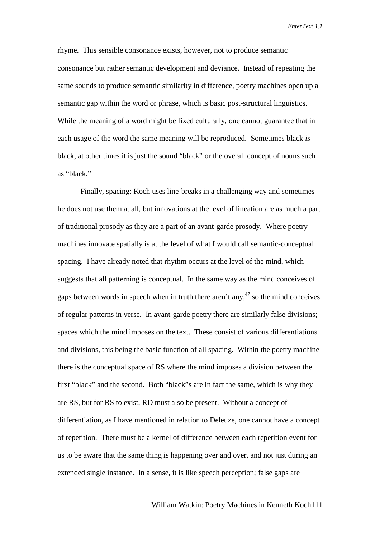rhyme. This sensible consonance exists, however, not to produce semantic consonance but rather semantic development and deviance. Instead of repeating the same sounds to produce semantic similarity in difference, poetry machines open up a semantic gap within the word or phrase, which is basic post-structural linguistics. While the meaning of a word might be fixed culturally, one cannot guarantee that in each usage of the word the same meaning will be reproduced. Sometimes black *is* black, at other times it is just the sound "black" or the overall concept of nouns such as "black."

Finally, spacing: Koch uses line-breaks in a challenging way and sometimes he does not use them at all, but innovations at the level of lineation are as much a part of traditional prosody as they are a part of an avant-garde prosody. Where poetry machines innovate spatially is at the level of what I would call semantic-conceptual spacing. I have already noted that rhythm occurs at the level of the mind, which suggests that all patterning is conceptual. In the same way as the mind conceives of gaps between words in speech when in truth there aren't any,  $47$  so the mind conceives of regular patterns in verse. In avant-garde poetry there are similarly false divisions; spaces which the mind imposes on the text. These consist of various differentiations and divisions, this being the basic function of all spacing. Within the poetry machine there is the conceptual space of RS where the mind imposes a division between the first "black" and the second. Both "black"s are in fact the same, which is why they are RS, but for RS to exist, RD must also be present. Without a concept of differentiation, as I have mentioned in relation to Deleuze, one cannot have a concept of repetition. There must be a kernel of difference between each repetition event for us to be aware that the same thing is happening over and over, and not just during an extended single instance. In a sense, it is like speech perception; false gaps are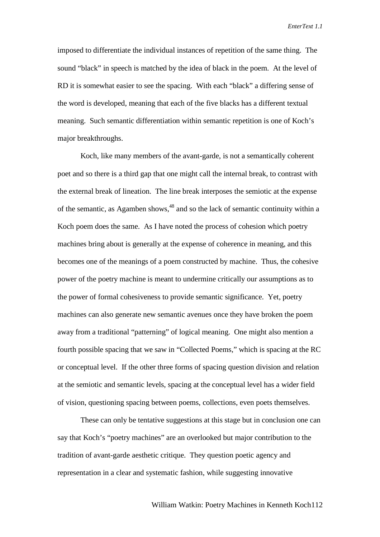imposed to differentiate the individual instances of repetition of the same thing. The sound "black" in speech is matched by the idea of black in the poem. At the level of RD it is somewhat easier to see the spacing. With each "black" a differing sense of the word is developed, meaning that each of the five blacks has a different textual meaning. Such semantic differentiation within semantic repetition is one of Koch's major breakthroughs.

Koch, like many members of the avant-garde, is not a semantically coherent poet and so there is a third gap that one might call the internal break, to contrast with the external break of lineation. The line break interposes the semiotic at the expense of the semantic, as Agamben shows,<sup>48</sup> and so the lack of semantic continuity within a Koch poem does the same. As I have noted the process of cohesion which poetry machines bring about is generally at the expense of coherence in meaning, and this becomes one of the meanings of a poem constructed by machine. Thus, the cohesive power of the poetry machine is meant to undermine critically our assumptions as to the power of formal cohesiveness to provide semantic significance. Yet, poetry machines can also generate new semantic avenues once they have broken the poem away from a traditional "patterning" of logical meaning. One might also mention a fourth possible spacing that we saw in "Collected Poems," which is spacing at the RC or conceptual level. If the other three forms of spacing question division and relation at the semiotic and semantic levels, spacing at the conceptual level has a wider field of vision, questioning spacing between poems, collections, even poets themselves.

These can only be tentative suggestions at this stage but in conclusion one can say that Koch's "poetry machines" are an overlooked but major contribution to the tradition of avant-garde aesthetic critique. They question poetic agency and representation in a clear and systematic fashion, while suggesting innovative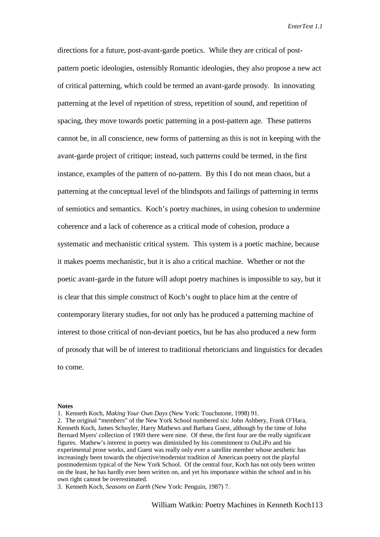directions for a future, post-avant-garde poetics. While they are critical of postpattern poetic ideologies, ostensibly Romantic ideologies, they also propose a new act of critical patterning, which could be termed an avant-garde prosody. In innovating patterning at the level of repetition of stress, repetition of sound, and repetition of spacing, they move towards poetic patterning in a post-pattern age. These patterns cannot be, in all conscience, new forms of patterning as this is not in keeping with the avant-garde project of critique; instead, such patterns could be termed, in the first instance, examples of the pattern of no-pattern. By this I do not mean chaos, but a patterning at the conceptual level of the blindspots and failings of patterning in terms of semiotics and semantics. Koch's poetry machines, in using cohesion to undermine coherence and a lack of coherence as a critical mode of cohesion, produce a systematic and mechanistic critical system. This system is a poetic machine, because it makes poems mechanistic, but it is also a critical machine. Whether or not the poetic avant-garde in the future will adopt poetry machines is impossible to say, but it is clear that this simple construct of Koch's ought to place him at the centre of contemporary literary studies, for not only has he produced a patterning machine of interest to those critical of non-deviant poetics, but he has also produced a new form of prosody that will be of interest to traditional rhetoricians and linguistics for decades to come.

#### **Notes**

<sup>1.</sup> Kenneth Koch, *Making Your Own Days* (New York: Touchstone, 1998) 91.

<sup>2.</sup> The original "members" of the New York School numbered six: John Ashbery, Frank O'Hara, Kenneth Koch, James Schuyler, Harry Mathews and Barbara Guest, although by the time of John Bernard Myers' collection of 1969 there were nine. Of these, the first four are the really significant figures. Mathew's interest in poetry was diminished by his commitment to OuLiPo and his experimental prose works, and Guest was really only ever a satellite member whose aesthetic has increasingly been towards the objective/modernist tradition of American poetry not the playful postmodernism typical of the New York School. Of the central four, Koch has not only been written on the least, he has hardly ever been written on, and yet his importance within the school and in his own right cannot be overestimated.

<sup>3.</sup> Kenneth Koch, *Seasons on Earth* (New York: Penguin, 1987) 7.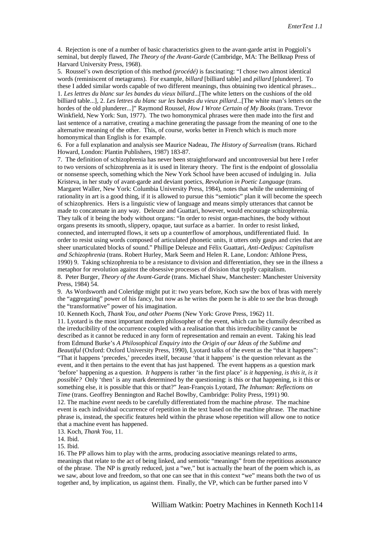4. Rejection is one of a number of basic characteristics given to the avant-garde artist in Poggioli's seminal, but deeply flawed, *The Theory of the Avant-Garde* (Cambridge, MA: The Bellknap Press of Harvard University Press, 1968).

5. Roussel's own description of this method *(procédé)* is fascinating: "I chose two almost identical words (reminiscent of metagrams). For example, *billard* [billiard table] and *pillard* [plunderer]. To these I added similar words capable of two different meanings, thus obtaining two identical phrases... 1. *Les lettres du blanc sur les bandes du vieux billard*...[The white letters on the cushions of the old billiard table...], 2. *Les lettres du blanc sur les bandes du vieux pillard*...[The white man's letters on the hordes of the old plunderer...]" Raymond Roussel, *How I Wrote Certain of My Books* (trans. Trevor Winkfield, New York: Sun, 1977). The two homonymical phrases were then made into the first and last sentence of a narrative, creating a machine generating the passage from the meaning of one to the alternative meaning of the other. This, of course, works better in French which is much more homonymical than English is for example.

6. For a full explanation and analysis see Maurice Nadeau, *The History of Surrealism* (trans. Richard Howard, London: Plantin Publishers, 1987) 183-87.

7. The definition of schizophrenia has never been straightforward and uncontroversial but here I refer to two versions of schizophrenia as it is used in literary theory. The first is the endpoint of glossolalia or nonsense speech, something which the New York School have been accused of indulging in. Julia Kristeva, in her study of avant-garde and deviant poetics, *Revolution in Poetic Language* (trans. Margaret Waller, New York: Columbia University Press, 1984), notes that while the undermining of rationality in art is a good thing, if it is allowed to pursue this "semiotic" plan it will become the speech of schizophrenics. Hers is a linguistic view of language and means simply utterances that cannot be made to concatenate in any way. Deleuze and Guattari, however, would encourage schizophrenia. They talk of it being the body without organs: "In order to resist organ-machines, the body without organs presents its smooth, slippery, opaque, taut surface as a barrier. In order to resist linked, connected, and interrupted flows, it sets up a counterflow of amorphous, undifferentiated fluid. In order to resist using words composed of articulated phonetic units, it utters only gasps and cries that are sheer unarticulated blocks of sound." Phillipe Deleuze and Félix Guattari, *Anti-Oedipus: Capitalism and Schizophrenia* (trans. Robert Hurley, Mark Seem and Helen R. Lane, London: Athlone Press, 1990) 9. Taking schizophrenia to be a resistance to division and differentiation, they see in the illness a metaphor for revolution against the obsessive processes of division that typify capitalism. 8. Peter Burger, *Theory of the Avant-Garde* (trans. Michael Shaw, Manchester: Manchester University Press, 1984) 54.

9. As Wordsworth and Coleridge might put it: two years before, Koch saw the box of bras with merely the "aggregating" power of his fancy, but now as he writes the poem he is able to see the bras through the "transformative" power of his imagination.

10. Kenneth Koch, *Thank You, and other Poems* (New York: Grove Press, 1962) 11.

11. Lyotard is the most important modern philosopher of the event, which can be clumsily described as the irreducibility of the occurrence coupled with a realisation that this irreducibility cannot be described as it cannot be reduced in any form of representation and remain an event. Taking his lead from Edmund Burke's *A Philosophical Enquiry into the Origin of our Ideas of the Sublime and Beautiful* (Oxford: Oxford University Press, 1990), Lyotard talks of the event as the "that it happens": "That it happens 'precedes,' precedes itself, because 'that it happens' is the question relevant as the event, and it then pertains to the event that has just happened. The event happens as a question mark 'before' happening as a question. *It happens* is rather 'in the first place' *is it happening, is this it, is it possible?* Only 'then' is any mark determined by the questioning: is this or that happening, is it this or something else, it is possible that this or that?" Jean-François Lyotard, *The Inhuman: Reflections on Time* (trans. Geoffrey Bennington and Rachel Bowlby, Cambridge: Polity Press, 1991) 90.

12. The machine *event* needs to be carefully differentiated from the machine *phrase*. The machine event is each individual occurrence of repetition in the text based on the machine phrase. The machine phrase is, instead, the specific features held within the phrase whose repetition will allow one to notice that a machine event has happened.

13. Koch, *Thank You,* 11.

14. Ibid.

15. Ibid.

16. The PP allows him to play with the arms, producing associative meanings related to arms, meanings that relate to the act of being linked, and semiotic "meanings" from the repetitious assonance of the phrase. The NP is greatly reduced, just a "we," but is actually the heart of the poem which is, as we saw, about love and freedom, so that one can see that in this context "we" means both the two of us together and, by implication, us against them. Finally, the VP, which can be further parsed into V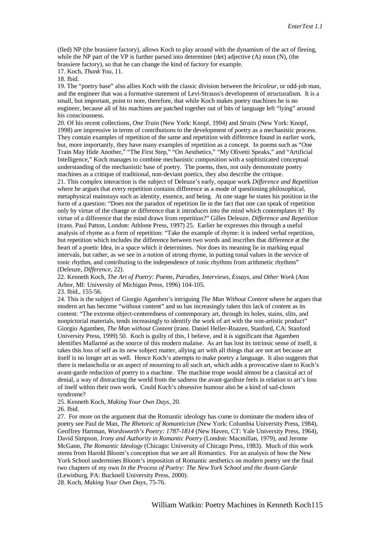(fled) NP (the brassiere factory), allows Koch to play around with the dynamism of the act of fleeing, while the NP part of the VP is further parsed into determiner (det) adjective (A) noun (N), (the brassiere factory), so that he can change the kind of factory for example.

17. Koch, *Thank You*, 11.

18. Ibid.

19. The "poetry base" also allies Koch with the classic division between the *bricoleur*, or odd-job man, and the engineer that was a formative statement of Levi-Strauss's development of structuralism. It is a small, but important, point to note, therefore, that while Koch makes poetry machines he is no engineer, because all of his machines are patched together out of bits of language left "lying" around his consciousness.

20. Of his recent collections, *One Train* (New York: Knopf, 1994) and *Straits* (New York: Knopf, 1998) are impressive in terms of contributions to the development of poetry as a mechanistic process. They contain examples of repetition of the same and repetition with difference found in earlier work, but, more importantly, they have many examples of repetition as a concept. In poems such as "One Train May Hide Another," "The First Step," "On Aesthetics," "My Olivetti Speaks," and "Artificial Intelligence," Koch manages to combine mechanistic composition with a sophisticated conceptual understanding of the mechanistic base of poetry. The poems, then, not only demonstrate poetry machines as a critique of traditional, non-deviant poetics, they also describe the critique.

21. This complex interaction is the subject of Deleuze's early, opaque work *Difference and Repetition* where he argues that every repetition contains difference as a mode of questioning philosophical, metaphysical mainstays such as identity, essence, and being. At one stage he states his position in the form of a question: "Does not the paradox of repetition lie in the fact that one can speak of repetition only by virtue of the change or difference that it introduces into the mind which contemplates it? By virtue of a difference that the mind draws from repetition?" Gilles Deleuze, *Difference and Repetition* (trans. Paul Patton, London: Athlone Press, 1997) 25. Earlier he expresses this through a useful analysis of rhyme as a form of repetition: "Take the example of rhyme: it is indeed verbal repetition, but repetition which includes the difference between two words and inscribes that difference at the heart of a poetic Idea, in a space which it determines. Nor does its meaning lie in marking equal intervals, but rather, as we see in a notion of strong rhyme, in putting tonal values in the service of tonic rhythm, and contributing to the independence of tonic rhythms from arithmetic rhythms" (Deleuze, *Difference,* 22).

22. Kenneth Koch, *The Art of Poetry: Poems, Parodies, Interviews, Essays, and Other Work* (Ann Arbor, MI: University of Michigan Press, 1996) 104-105.

23. Ibid., 155-56.

24. This is the subject of Giorgio Agamben's intriguing *The Man Without Content* where he argues that modern art has become "without content" and so has increasingly taken this lack of content as its content: "The extreme object-centeredness of contemporary art, through its holes, stains, slits, and nonpictorial materials, tends increasingly to identify the work of art with the non-artistic product" Giorgio Agamben, *The Man without Content* (trans. Daniel Heller-Roazen, Stanford, CA: Stanford University Press, 1999) 50. Koch is guilty of this, I believe, and it is significant that Agamben identifies Mallarmé as the source of this modern malaise. As art has lost its intrinsic sense of itself, it takes this loss of self as its new subject matter, allying art with all things that are not art because art itself is no longer art as well. Hence Koch's attempts to make poetry a language. It also suggests that there is melancholia or an aspect of mourning to all such art, which adds a provocative slant to Koch's avant-garde reduction of poetry to a machine. The machine trope would almost be a classical act of denial, a way of distracting the world from the sadness the avant-gardiste feels in relation to art's loss of itself within their own work. Could Koch's obsessive humour also be a kind of sad-clown syndrome?

25. Kenneth Koch, *Making Your Own Days*, 20.

26. Ibid.

27. For more on the argument that the Romantic ideology has come to dominate the modern idea of poetry see Paul de Man*, The Rhetoric of Romanticism* (New York: Columbia University Press, 1984), Geoffrey Hartman*, Wordsworth's Poetry: 1787-1814* (New Haven, CT: Yale University Press, 1964), David Simpson, *Irony and Authority in Romantic Poetry* (London: Macmillan, 1979), and Jerome McGann, *The Romantic Ideology* (Chicago: University of Chicago Press, 1983). Much of this work stems from Harold Bloom's conception that we are all Romantics. For an analysis of how the New York School undermines Bloom's imposition of Romantic aesthetics on modern poetry see the final two chapters of my own *In the Process of Poetry: The New York School and the Avant-Garde* (Lewisburg, PA: Bucknell University Press, 2000).

28. Koch, *Making Your Own Days*, 75-76.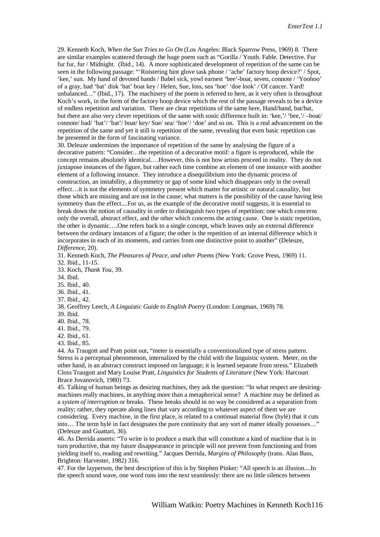29. Kenneth Koch, *When the Sun Tries to Go On* (Los Angeles: Black Sparrow Press, 1969) 8. There are similar examples scattered through the huge poem such as "Gorilla / Youth. Fable. Detective. Fur fur fur, fur / Midnight. (Ibid., 14). A more sophisticated development of repetition of the same can be seen in the following passage: "'Roistering hint glove task phone / 'ache' factory hoop device?' / Spot, 'kee,' sun. My hand of devoted hands / Babel sick, yowl earnest 'bee'-boat, seven, connote / 'Yoohoo' of a gray, bad 'bat' disk 'bat' boat key / Helen, Sue, loss, sea 'hoe' 'doe look' */* Of cancer. Yard! unbalanced…" (Ibid., 17). The machinery of the poem is referred to here, as it very often is throughout Koch's work, in the form of the factory hoop device which the rest of the passage reveals to be a device of endless repetition and variation. There are clear repetitions of the same here, Hand/hand, bat/bat, but there are also very clever repetitions of the same with sonic difference built in: 'kee,'/ 'bee,'/ –boat/ connote/ bad/ 'bat'/ 'bat'/ boat/ key/ Sue/ sea/ 'hoe'/ 'doe' and so on. This is a real advancement on the repetition of the same and yet it still is repetition of the same, revealing that even basic repetition can be presented in the form of fascinating variance.

30. Deleuze undermines the importance of repetition of the same by analysing the figure of a decorative pattern: "Consider…the repetition of a decorative motif: a figure is reproduced, while the concept remains absolutely identical….However, this is not how artists proceed in reality. They do not juxtapose instances of the figure, but rather each time combine an element of one instance with another element of a following instance. They introduce a disequilibrium into the dynamic process of construction, an instability, a disymmetry or gap of some kind which disappears only in the overall effect…it is not the elements of symmetry present which matter for artistic or natural causality, but those which are missing and are not in the cause; what matters is the possibility of the cause having less symmetry than the effect....For us, as the example of the decorative motif suggests, it is essential to break down the notion of causality in order to distinguish two types of repetition: one which concerns only the overall, abstract effect, and the other which concerns the acting cause. One is static repetition, the other is dynamic….One refers back to a single concept, which leaves only an external difference between the ordinary instances of a figure; the other is the repetition of an internal difference which it incorporates in each of its moments, and carries from one distinctive point to another" (Deleuze, *Difference,* 20).

31. Kenneth Koch, *The Pleasures of Peace, and other Poems* (New York: Grove Press, 1969) 11.

32. Ibid., 11-15.

33. Koch, *Thank You,* 39.

34. Ibid.

35. Ibid., 40.

36. Ibid., 41.

37. Ibid., 42.

38. Geoffrey Leech, *A Linguistic Guide to English Poetry* (London: Longman, 1969) 78.

39. Ibid.

40. Ibid., 78.

41. Ibid., 79.

42. Ibid., 61.

43. Ibid., 85.

44. As Traugott and Pratt point out, "meter is essentially a conventionalized type of stress pattern. Stress is a perceptual phenomenon, internalized by the child with the linguistic system. Meter, on the other hand, is an abstract construct imposed on language; it is learned separate from stress." Elizabeth Closs Traugott and Mary Louise Pratt, *Linguistics for Students of Literature* (New York: Harcourt Brace Jovanovich, 1980) 73.

45. Talking of human beings as desiring machines, they ask the question: "In what respect are desiringmachines really machines, in anything more than a metaphorical sense? A machine may be defined as a *system of interruption* or breaks. These breaks should in no way be considered as a separation from reality; rather, they operate along lines that vary according to whatever aspect of them we are considering. Every machine, in the first place, is related to a continual material flow (hylè) that it cuts into… The term hylè in fact designates the pure continuity that any sort of matter ideally possesses…" (Deleuze and Guattari, 36).

46. As Derrida asserts: "To write is to produce a mark that will constitute a kind of machine that is in turn productive, that my future disappearance in principle will not prevent from functioning and from yielding itself to, reading and rewriting." Jacques Derrida, *Margins of Philosophy* (trans. Alan Bass, Brighton: Harvester, 1982) 316.

47. For the layperson, the best description of this is by Stephen Pinker: "All speech is an illusion....In the speech sound wave, one word runs into the next seamlessly: there are no little silences between